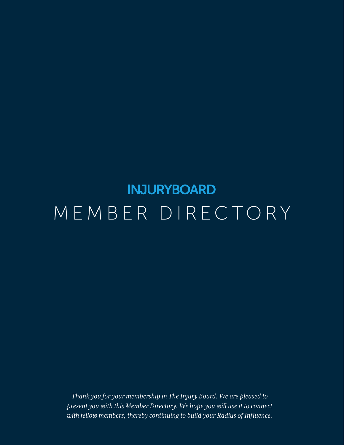# **INJURYBOARD** MEMBER DIRECTORY

*Thank you for your membership in The Injury Board. We are pleased to present you with this Member Directory. We hope you will use it to connect with fellow members, thereby continuing to build your Radius of Influence.*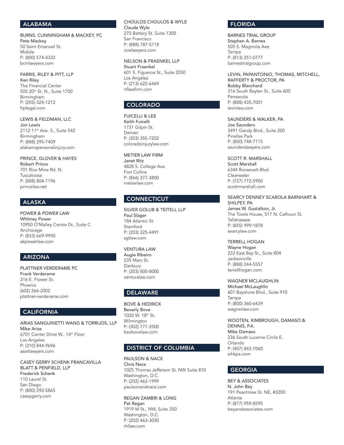## ALABAMA

BURNS, CUNNINGHAM & MACKEY, PC Pete Mackey 50 Saint Emanuel St. Mobile P: (800) 574-4332 bcmlawyers.com

FARRIS, RILEY & PITT, LLP Ken Riley The Financial Center 505 20th St. N., Suite 1700 Birmingham P: (205) 324-1212 frplegal.com

LEWIS & FELDMAN, LLC Jon Lewis 2112 11th Ave. S., Suite 542 Birmingham P: (888) 295-7409 alabamapersonalinjury.com

PRINCE, GLOVER & HAYES Robert Prince 701 Rice Mine Rd. N. Tuscaloosa P: (888) 804-1196 princelaw.net

## ALASKA

POWER & POWER LAW Whitney Power 10950 O'Malley Centre Dr., Suite C Anchorage P: (833) 669-9990 akpowerlaw.com

## ARIZONA

PLATTNER VERDERAME PC Frank Verderame 316 E. Flower St. Phoenix (602) 266-2002 plattner-verderame.com

# **CALIFORNIA**

ARIAS SANGUINETTI WANG & TORRIJOS, LLP Mike Arias 6701 Center Drive W., 14th Floor Los Angeles P: (310) 844-9696 aswtlawyers.com

CASEY GERRY SCHENK FRANCAVILLA BLATT & PENFIELD, LLP Frederick Schenk 110 Laurel St. San Diego P: (800) 292-5865 caseygerry.com

#### CHOULOS CHOULOS & WYLE Claude Wyle 275 Battery St. Suite 1300 San Francisco P: (888) 787-5718 ccwlawyers.com

NELSON & FRAENKEL LLP Stuart Fraenkel 601 S. Figueroa St., Suite 2050 Los Angeles P: (213) 622-6469 nflawfirm.com

# COLORADO

FUICELLI & LEE Keith Fuicelli 1731 Gilpin St. Denver P: (303) 355-7202 coloradoinjurylaw.com

METIER LAW FIRM Janet Ritz 4828 S. College Ave. Fort Collins P: (866) 377-3800 metierlaw.com

# **CONNECTICUT**

SILVER GOLUB & TEITELL LLP Paul Slager 184 Atlantic St. **Stamford** P: (203) 325-4491 sgtlaw.com

VENTURA LAW Augie Ribeiro 235 Main St. Danbury P: (203) 800-8000 venturalaw.com

# DELAWARE

BOVE & HEDRICK Beverly Bove 1020 W. 18th St. Wilmington P: (302) 777-3500 bevbovelaw.com

## DISTRICT OF COLUMBIA

PAULSON & NACE Chris Nace 1025 Thomas Jefferson St. NW Suite 810 Washington, D.C. P: (202) 463-1999 paulsonandnace.com

REGAN ZAMBRI & LONG Pat Regan 1919 M St., NW, Suite 350 Washington, D.C. P: (202) 463-3030 rhllaw.com

## FLORIDA

levinlaw.com

BARNES TRIAL GROUP Stephen A. Barnes 505 S. Magnolia Ave. Tampa P: (813) 251-0777 barnestrialgroup.com

#### LEVIN, PAPANTONIO, THOMAS, MITCHELL, RAFFERTY & PROCTOR, PA Bobby Blanchard 316 South Baylen St., Suite 600 Pensacola P: (888) 435-7001

SAUNDERS & WALKER, PA Joe Saunders 3491 Gandy Blvd., Suite 200 Pinellas Park P: (800) 748-7115 saunderslawyers.com

SCOTT R. MARSHALL Scott Marshall 6344 Roosevelt Blvd Clearwater P: (727) 772-5900 scottrmarshall.com

SEARCY DENNEY SCAROLA BARNHART & SHILPEY, PA James W. Gustafson, Jr.

The Towle House, 517 N. Calhoun St. Tallahassee P: (855) 999-1878 searcylaw.com

TERRELL HOGAN Wayne Hogan 233 East Bay St., Suite 804 Jacksonville P: (888) 244-5557 terrellhogan.com

WAGNER MCLAUGHLIN Michael McLaughlin 601 Bayshore Blvd., Suite 910 Tampa P: (800) 360-6439 wagnerlaw.com

WOOTEN, KIMBROUGH, DAMASO & DENNIS, P.A. Mike Damaso 236 South Lucerne Circle E. Orlando P: (407) 843-7060 whkpa.com

## **GEORGIA**

BEY & ASSOCIATES N. John Bey 191 Peachtree St. NE, #3200 Atlanta P: (877) 959-8595 beyandassociates.com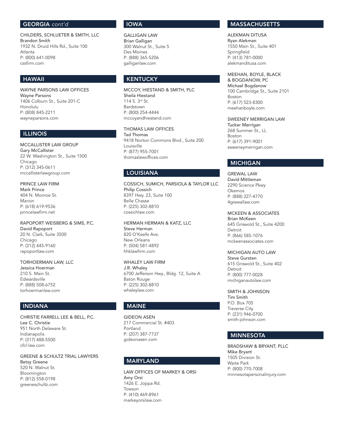## GEORGIA *cont'd*

CHILDERS, SCHLUETER & SMITH, LLC Brandon Smith 1932 N. Druid Hills Rd., Suite 100 Atlanta P: (800) 641-0098 cssfirm.com

## HAWAII

WAYNE PARSONS LAW OFFICES Wayne Parsons 1406 Colburn St., Suite 201-C Honolulu P: (808) 845-2211 wayneparsons.com

## ILLINOIS

MCCALLISTER LAW GROUP Gary McCallister 22 W. Washington St., Suite 1500 Chicago P: (312) 345-0611 mccallisterlawgroup.com

PRINCE LAW FIRM Mark Prince 404 N. Monroe St. Marion P: (618) 619-9536 princelawfirm.net

RAPOPORT WEISBERG & SIMS, P.C. David Rapoport 20 N. Clark, Suite 3500 Chicago P: (312) 445-9160 rapoportlaw.com

TORHOERMAN LAW, LLC

Jessica Hoerman 210 S. Main St. Edwardsville P: (888) 508-6752 torhoermanlaw.com

## INDIANA

CHRISTIE FARRELL LEE & BELL, P.C. Lee C. Christie 951 North Delaware St. Indianapolis P: (317) 488-5500 cfcl-law.com

GREENE & SCHULTZ TRIAL LAWYERS Betsy Greene 520 N. Walnut St. Bloomington P: (812) 558-0198 greeneschultz.com

## IOWA

GALLIGAN LAW Brian Galligan 300 Walnut St., Suite 5 Des Moines P: (888) 365-5206 galliganlaw.com

# KENTUCKY

MCCOY, HIESTAND & SMITH, PLC Sheila Hiestand 114 S. 3rd St. Bardstown P: (800) 254-4444 mccoyandhiestand.com

THOMAS LAW OFFICES Tad Thomas 9418 Norton Commons Blvd., Suite 200 Louisville P: (877) 955-7001 thomaslawoffices.com

# LOUISIANA

COSSICH, SUMICH, PARSIOLA & TAYLOR LLC Philip Cossich 8397 Hwy. 23, Suite 100 Belle Chasse P: (225) 302-8810 cossichlaw.com

HERMAN HERMAN & KATZ, LLC Steve Herman 820 O'Keefe Ave. New Orleans P: (504) 581-4892 hhklawfirm.com

WHALEY LAW FIRM J.R. Whaley 6700 Jefferson Hwy., Bldg. 12, Suite A Baton Rouge P: (225) 302-8810 whaleylaw.com

# MAINE

GIDEON ASEN 217 Commercial St. #403 Portland P: (207) 387-7737 gideonasen.com

## MARYLAND

LAW OFFICES OF MARKEY & ORSI Amy Orsi 1426 E. Joppa Rd. Towson P: (410) 469-8961 markeyorsilaw.com

# **MASSACHUSETTS**

ALEKMAN DITUSA Ryan Alekman 1550 Main St., Suite 401 Springfield P: (413) 781-0000 alekmanditusa.com

MEEHAN, BOYLE, BLACK & BOGDANOW, PC

Michael Bogdanow 100 Cambridge St., Suite 2101 Boston P: (617) 523-8300 meehanboyle.com

SWEENEY MERRIGAN LAW Tucker Merrigan 268 Summer St., LL Boston P: (617) 391-9001 sweeneymerrigan.com

## MICHIGAN

GREWAL LAW David Mittleman 2290 Science Pkwy Okemos P: (888) 227-4770 4grewallaw.com

MCKEEN & ASSOCIATES Brian McKeen 645 Griswold St., Suite 4200 **Detroit** P: (866) 585-1076 mckeenassociates.com

MICHIGAN AUTO LAW

Steve Gursten 615 Griswold St., Suite 402 Detroit P: (800) 777-0028 michiganautolaw.com

#### SMITH & JOHNSON

Tim Smith P.O. Box 705 Traverse City P: (231) 946-0700 smith-johnson.com

## MINNESOTA

BRADSHAW & BRYANT, PLLC Mike Bryant 1505 Division St. Waite Park P: (800) 770-7008 minnesotapersonalinjury.com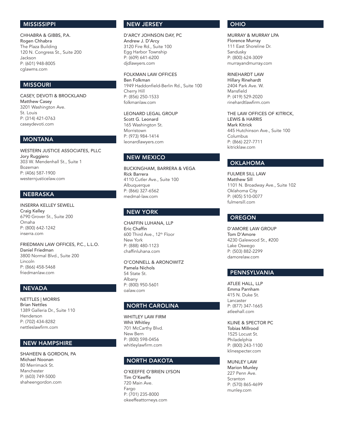## MISSISSIPPI

CHHABRA & GIBBS, P.A. Rogen Chhabra The Plaza Building 120 N. Congress St., Suite 200 Jackson P: (601) 948-8005 cglawms.com

## MISSOURI

CASEY, DEVOTI & BROCKLAND Matthew Casey 3201 Washington Ave. St. Louis P: (314) 421-0763 caseydevoti.com

# MONTANA

WESTERN JUSTICE ASSOCIATES, PLLC Jory Ruggiero 303 W. Mendenhall St., Suite 1 Bozeman P: (406) 587-1900 westernjusticelaw.com

# NEBRASKA

INSERRA KELLEY SEWELL Craig Kelley 6790 Grover St., Suite 200 Omaha P: (800) 642-1242 inserra.com

FRIEDMAN LAW OFFICES, P.C., L.L.O. Daniel Friedman 3800 Normal Blvd., Suite 200 Lincoln P: (866) 458-5468 friedmanlaw.com

# NEVADA

NETTLES | MORRIS Brian Nettles 1389 Galleria Dr., Suite 110 Henderson P: (702) 434-8282 nettleslawfirm.com

# NEW HAMPSHIRE

SHAHEEN & GORDON, PA Michael Noonan 80 Merrimack St. Manchester P: (603) 749-5000 shaheengordon.com

## NEW JERSEY

D'ARCY JOHNSON DAY, PC Andrew J. D'Arcy 3120 Fire Rd., Suite 100 Egg Harbor Township P: (609) 641-6200 djdlawyers.com

FOLKMAN LAW OFFICES Ben Folkman 1949 Haddonfield-Berlin Rd., Suite 100 Cherry Hill P: (856) 250-1533 folkmanlaw.com

LEONARD LEGAL GROUP Scott G. Leonard 165 Washington St. Morristown P: (973) 984-1414 leonardlawyers.com

## NEW MEXICO

BUCKINGHAM, BARRERA & VEGA Rick Barrera 4110 Cutler Ave., Suite 100 Albuquerque P: (866) 327-6562 medmal-law.com

## NEW YORK

CHAFFIN LUHANA, LLP Eric Chaffin 600 Third Ave., 12th Floor New York P: (888) 480-1123 chaffinluhana.com

O'CONNELL & ARONOWITZ Pamela Nichols 54 State St. Albany P: (800) 950-5601 oalaw.com

## NORTH CAROLINA

WHITLEY LAW FIRM Whit Whitley 701 McCarthy Blvd. New Bern P: (800) 598-0456 whitleylawfirm.com

## NORTH DAKOTA

O'KEEFFE O'BRIEN LYSON Tim O'Keeffe 720 Main Ave. Fargo P: (701) 235-8000 okeeffeattorneys.com

#### OHIO

MURRAY & MURRAY LPA Florence Murray 111 East Shoreline Dr. Sandusky P: (800) 624-3009 murrayandmurray.com

#### RINEHARDT LAW

Hillary Rinehardt 2404 Park Ave. W. Mansfield P: (419) 529-2020 rinehardtlawfirm.com

THE LAW OFFICES OF KITRICK, LEWIS & HARRIS Mark Kitrick 445 Hutchinson Ave., Suite 100 Columbus P: (866) 227-7711 kitricklaw.com

## OKLAHOMA

FULMER SILL LAW Matthew Sill 1101 N. Broadway Ave., Suite 102 Oklahoma City P: (405) 510-0077 fulmersill.com

## OREGON

D'AMORE LAW GROUP Tom D'Amore 4230 Galewood St., #200 Lake Oswego P: (503) 882-2299 damorelaw.com

# PENNSYLVANIA

ATLEE HALL, LLP Emma Parnham 415 N. Duke St. Lancaster P: (877) 347-1665 atleehall.com

KLINE & SPECTOR PC Tobias Millrood 1525 Locust St. Philadelphia P: (800) 243-1100 klinespecter.com

MUNLEY LAW Marion Munley 227 Penn Ave. Scranton P: (570) 865-4699 munley.com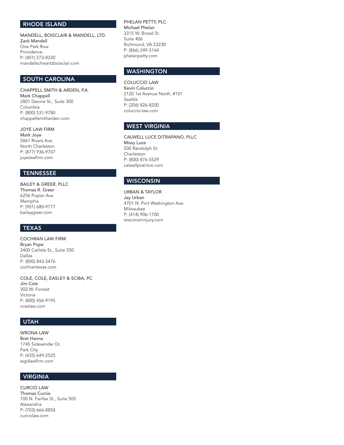## RHODE ISLAND

MANDELL, BOISCLAIR & MANDELL, LTD. Zack Mandell One Park Row Providence P: (401) 273-8330 mandellschwartzboisclair.com

## SOUTH CAROLINA

CHAPPELL SMITH & ARDEN, P.A. Mark Chappell 2801 Devine St., Suite 300 Columbia P: (800) 531-9780 chappellsmitharden.com

## JOYE LAW FIRM

Mark Joye 5861 Rivers Ave. North Charleston P: (877) 936-9707 joyelawfirm.com

# **TENNESSEE**

Thomas R. Greer 6256 Poplar Ave. Memphis P: (901) 680-9777 baileygreer.com

# TEXAS

COCHRAN LAW FIRM Bryan Pope 3400 Carlisle St., Suite 550 Dallas P: (800) 843-3476 cochrantexas.com

COLE, COLE, EASLEY & SCIBA, PC Jim Cole 302 W. Forrest Victoria P: (800) 456-9195 cceslaw.com

# UTAH

WRONA LAW Bret Hanna 1745 Sidewinder Dr. Park City P: (435) 649-2525 wgdlawfirm.com

## VIRGINIA

CURCIO LAW Thomas Curcio 700 N. Fairfax St., Suite 505 Alexandria P: (703) 666-8858 curciolaw.com

PHELAN PETTY, PLC Michael Phelan 3315 W. Broad St. Suite 406 Richmond, VA 23230 P: (866) 249-3164 phelanpetty.com

# **WASHINGTON**

COLUCCIO LAW Kevin Coluccio 2120 1st Avenue North, #101 Seattle P: (206) 826-8200 coluccio-law.com

# WEST VIRGINIA

CALWELL LUCE DITRAPANO, PLLC Missy Luce 500 Randolph St. Charleston P: (800) 876-5529 calwellpractice.com

# BAILEY & GREER, PLLC<br>
BAILEY & GREER, PLLC

URBAN & TAYLOR Jay Urban 4701 N. Port Washington Ave. Milwaukee P: (414) 906-1700 wisconsininjury.com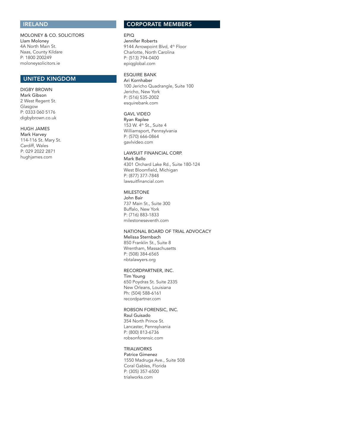## IRELAND

MOLONEY & CO. SOLICITORS LIam Moloney 4A North Main St. Naas, County Kildare P: 1800 200249 moloneysolicitors.ie

## UNITED KINGDOM

#### DIGBY BROWN Mark Gibson 2 West Regent St. Glasgow P: 0333 060 5176 digbybrown.co.uk

#### HUGH JAMES

Mark Harvey 114-116 St. Mary St. Cardiff, Wales P: 029 2022 2871 hughjames.com

## CORPORATE MEMBERS

#### EPIQ Jennifer Roberts 9144 Arrowpoint Blvd, 4th Floor Charlotte, North Carolina P: (513) 794-0400 epiqglobal.com

## ESQUIRE BANK

Ari Kornhaber 100 Jericho Quadrangle, Suite 100 Jericho, New York P: (516) 535-2002 esquirebank.com

#### GAVL VIDEO

Ryan Raplee 153 W. 4th St., Suite 4 Williamsport, Pennsylvania P: (570) 666-0864 gavlvideo.com

#### LAWSUIT FINANCIAL CORP.

Mark Bello 4301 Orchard Lake Rd., Suite 180-124 West Bloomfield, Michigan P: (877) 377-7848 lawsuitfinancial.com

## MILESTONE

John Bair 737 Main St., Suite 300 Buffalo, New York P: (716) 883-1833 milestoneseventh.com

## NATIONAL BOARD OF TRIAL ADVOCACY Melissa Sternbach

850 Franklin St., Suite 8 Wrentham, Massachusetts P: (508) 384-6565 nbtalawyers.org

#### RECORDPARTNER, INC.

Tim Young 650 Poydras St. Suite 2335 New Orleans, Louisiana Ph: (504) 588-6161 recordpartner.com

## ROBSON FORENSIC, INC.

Raul Guisado 354 North Prince St. Lancaster, Pennsylvania P: (800) 813-6736 robsonforensic.com

## **TRIALWORKS**

Patrice Gimenez 1550 Madruga Ave., Suite 508 Coral Gables, Florida P: (305) 357-6500 trialworks.com